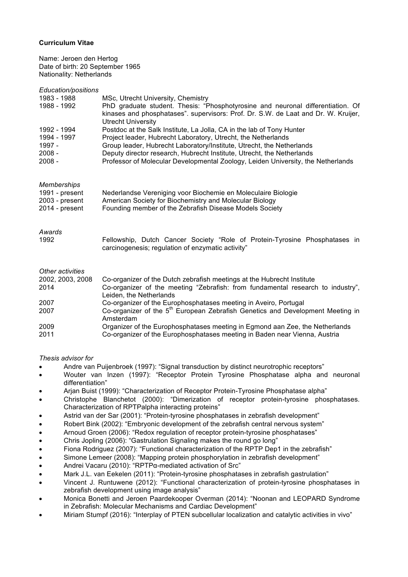## **Curriculum Vitae**

Name: Jeroen den Hertog Date of birth: 20 September 1965 Nationality: Netherlands

| Education/positions |                                                                                                                                                                                             |
|---------------------|---------------------------------------------------------------------------------------------------------------------------------------------------------------------------------------------|
| 1983 - 1988         | MSc, Utrecht University, Chemistry                                                                                                                                                          |
| 1988 - 1992         | PhD graduate student. Thesis: "Phosphotyrosine and neuronal differentiation. Of<br>kinases and phosphatases". supervisors: Prof. Dr. S.W. de Laat and Dr. W. Kruijer,<br>Utrecht University |
| 1992 - 1994         | Postdoc at the Salk Institute, La Jolla, CA in the lab of Tony Hunter                                                                                                                       |
| 1994 - 1997         | Project leader, Hubrecht Laboratory, Utrecht, the Netherlands                                                                                                                               |
| 1997 -              | Group leader, Hubrecht Laboratory/Institute, Utrecht, the Netherlands                                                                                                                       |
| $2008 -$            | Deputy director research, Hubrecht Institute, Utrecht, the Netherlands                                                                                                                      |
| 2008 -              | Professor of Molecular Developmental Zoology, Leiden University, the Netherlands                                                                                                            |
| <b>Memberships</b>  |                                                                                                                                                                                             |
| 1991 - present      | Nederlandse Vereniging voor Biochemie en Moleculaire Biologie                                                                                                                               |
| 2003 - present      | American Society for Biochemistry and Molecular Biology                                                                                                                                     |
| 2014 - present      | Founding member of the Zebrafish Disease Models Society                                                                                                                                     |
| Awards              |                                                                                                                                                                                             |
| 1992                | Fellowship, Dutch Cancer Society "Role of Protein-Tyrosine Phosphatases in<br>carcinogenesis; regulation of enzymatic activity"                                                             |
| Other activities    |                                                                                                                                                                                             |
| 2002, 2003, 2008    | Co-organizer of the Dutch zebrafish meetings at the Hubrecht Institute                                                                                                                      |
| 2014                | Co-organizer of the meeting "Zebrafish: from fundamental research to industry",<br>Leiden, the Netherlands                                                                                  |
| 2007                | Co-organizer of the Europhosphatases meeting in Aveiro, Portugal                                                                                                                            |
| 2007                | Co-organizer of the 5 <sup>th</sup> European Zebrafish Genetics and Development Meeting in<br>Amsterdam                                                                                     |
| 2009                | Organizer of the Europhosphatases meeting in Egmond aan Zee, the Netherlands                                                                                                                |
| 2011                | Co-organizer of the Europhosphatases meeting in Baden near Vienna, Austria                                                                                                                  |

## *Thesis advisor for*

- Andre van Puijenbroek (1997): "Signal transduction by distinct neurotrophic receptors"
- Wouter van Inzen (1997): "Receptor Protein Tyrosine Phosphatase alpha and neuronal differentiation"
- Arjan Buist (1999): "Characterization of Receptor Protein-Tyrosine Phosphatase alpha"
- Christophe Blanchetot (2000): "Dimerization of receptor protein-tyrosine phosphatases. Characterization of RPTPalpha interacting proteins"
- Astrid van der Sar (2001): "Protein-tyrosine phosphatases in zebrafish development"
- Robert Bink (2002): "Embryonic development of the zebrafish central nervous system"
- Arnoud Groen (2006): "Redox regulation of receptor protein-tyrosine phosphatases"
- Chris Jopling (2006): "Gastrulation Signaling makes the round go long"
- Fiona Rodriguez (2007): "Functional characterization of the RPTP Dep1 in the zebrafish"
- Simone Lemeer (2008): "Mapping protein phosphorylation in zebrafish development"
- Andrei Vacaru (2010): "RPTPα-mediated activation of Src"
- Mark J.L. van Eekelen (2011): "Protein-tyrosine phosphatases in zebrafish gastrulation"
- Vincent J. Runtuwene (2012): "Functional characterization of protein-tyrosine phosphatases in zebrafish development using image analysis"
- Monica Bonetti and Jeroen Paardekooper Overman (2014): "Noonan and LEOPARD Syndrome in Zebrafish: Molecular Mechanisms and Cardiac Development"
- Miriam Stumpf (2016): "Interplay of PTEN subcellular localization and catalytic activities in vivo"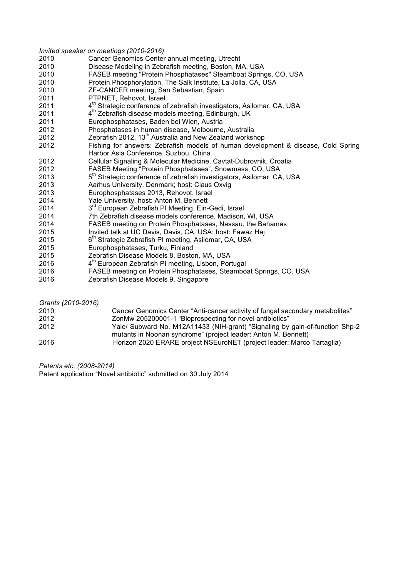|      | Invited speaker on meetings (2010-2016)                                            |
|------|------------------------------------------------------------------------------------|
| 2010 | Cancer Genomics Center annual meeting, Utrecht                                     |
| 2010 | Disease Modeling in Zebrafish meeting, Boston, MA, USA                             |
| 2010 | FASEB meeting "Protein Phosphatases" Steamboat Springs, CO, USA                    |
| 2010 | Protein Phosphorylation, The Salk Institute, La Jolla, CA, USA                     |
| 2010 | ZF-CANCER meeting, San Sebastian, Spain                                            |
| 2011 | PTPNET, Rehovot, Israel                                                            |
| 2011 | 4 <sup>th</sup> Strategic conference of zebrafish investigators, Asilomar, CA, USA |
| 2011 | 4 <sup>th</sup> Zebrafish disease models meeting, Edinburgh, UK                    |
| 2011 | Europhosphatases, Baden bei Wien, Austria                                          |
| 2012 | Phosphatases in human disease, Melbourne, Australia                                |
| 2012 | Zebrafish 2012, 13 <sup>th</sup> Australia and New Zealand workshop                |
| 2012 | Fishing for answers: Zebrafish models of human development & disease, Cold Spring  |
|      | Harbor Asia Conference, Suzhou, China                                              |
| 2012 | Cellular Signaling & Molecular Medicine, Cavtat-Dubrovnik, Croatia                 |
| 2012 | FASEB Meeting "Protein Phosphatases", Snowmass, CO, USA                            |
| 2013 | 5 <sup>th</sup> Strategic conference of zebrafish investigators, Asilomar, CA, USA |
| 2013 | Aarhus University, Denmark; host: Claus Oxvig                                      |
| 2013 | Europhosphatases 2013, Rehovot, Israel                                             |
| 2014 | Yale University, host: Anton M. Bennett                                            |
| 2014 | 3 <sup>rd</sup> European Zebrafish PI Meeting, Ein-Gedi, Israel                    |
| 2014 | 7th Zebrafish disease models conference, Madison, WI, USA                          |
| 2014 | FASEB meeting on Protein Phosphatases, Nassau, the Bahamas                         |
| 2015 | Invited talk at UC Davis, Davis, CA, USA; host: Fawaz Haj                          |
| 2015 | 6 <sup>th</sup> Strategic Zebrafish PI meeting, Asilomar, CA, USA                  |
| 2015 | Europhosphatases, Turku, Finland                                                   |
| 2015 | Zebrafish Disease Models 8, Boston, MA, USA                                        |
| 2016 | 4 <sup>th</sup> European Zebrafish PI meeting, Lisbon, Portugal                    |
| 2016 | FASEB meeting on Protein Phosphatases, Steamboat Springs, CO, USA                  |

Zebrafish Disease Models 9, Singapore

| Grants (2010-2016) |                                                                                                                                                |
|--------------------|------------------------------------------------------------------------------------------------------------------------------------------------|
| 2010               | Cancer Genomics Center "Anti-cancer activity of fungal secondary metabolites"                                                                  |
| 2012               | ZonMw 205200001-1 "Bioprospecting for novel antibiotics"                                                                                       |
| 2012               | Yale/ Subward No. M12A11433 (NIH-grant) "Signaling by gain-of-function Shp-2<br>mutants in Noonan syndrome" (project leader: Anton M. Bennett) |
| 2016               | Horizon 2020 ERARE project NSEuroNET (project leader: Marco Tartaglia)                                                                         |

*Patents etc. (2008-2014)*

Patent application "Novel antibiotic" submitted on 30 July 2014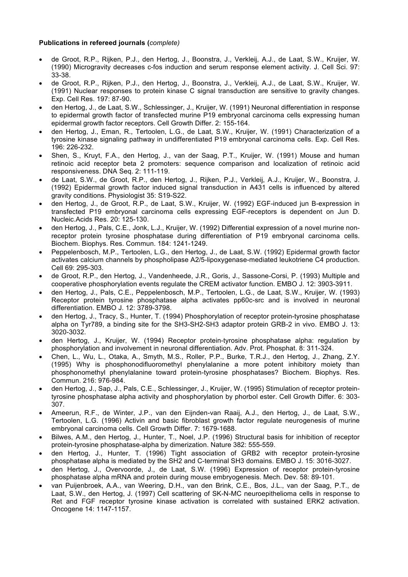## **Publications in refereed journals (***complete)*

- de Groot, R.P., Rijken, P.J., den Hertog, J., Boonstra, J., Verkleij, A.J., de Laat, S.W., Kruijer, W. (1990) Microgravity decreases c-fos induction and serum response element activity. J. Cell Sci. 97: 33-38.
- de Groot, R.P., Rijken, P.J., den Hertog, J., Boonstra, J., Verkleij, A.J., de Laat, S.W., Kruijer, W. (1991) Nuclear responses to protein kinase C signal transduction are sensitive to gravity changes. Exp. Cell Res. 197: 87-90.
- den Hertog, J., de Laat, S.W., Schlessinger, J., Kruijer, W. (1991) Neuronal differentiation in response to epidermal growth factor of transfected murine P19 embryonal carcinoma cells expressing human epidermal growth factor receptors. Cell Growth Differ. 2: 155-164.
- den Hertog, J., Eman, R., Tertoolen, L.G., de Laat, S.W., Kruijer, W. (1991) Characterization of a tyrosine kinase signaling pathway in undifferentiated P19 embryonal carcinoma cells. Exp. Cell Res. 196: 226-232.
- Shen, S., Kruyt, F.A., den Hertog, J., van der Saag, P.T., Kruijer, W. (1991) Mouse and human retinoic acid receptor beta 2 promoters: sequence comparison and localization of retinoic acid responsiveness. DNA Seq. 2: 111-119.
- de Laat, S.W., de Groot, R.P., den Hertog, J., Rijken, P.J., Verkleij, A.J., Kruijer, W., Boonstra, J. (1992) Epidermal growth factor induced signal transduction in A431 cells is influenced by altered gravity conditions. Physiologist 35: S19-S22.
- den Hertog, J., de Groot, R.P., de Laat, S.W., Kruijer, W. (1992) EGF-induced jun B-expression in transfected P19 embryonal carcinoma cells expressing EGF-receptors is dependent on Jun D. Nucleic.Acids Res. 20: 125-130.
- den Hertog, J., Pals, C.E., Jonk, L.J., Kruijer, W. (1992) Differential expression of a novel murine nonreceptor protein tyrosine phosphatase during differentiation of P19 embryonal carcinoma cells. Biochem. Biophys. Res. Commun. 184: 1241-1249.
- Peppelenbosch, M.P., Tertoolen, L.G., den Hertog, J., de Laat, S.W. (1992) Epidermal growth factor activates calcium channels by phospholipase A2/5-lipoxygenase-mediated leukotriene C4 production. Cell 69: 295-303.
- de Groot, R.P., den Hertog, J., Vandenheede, J.R., Goris, J., Sassone-Corsi, P. (1993) Multiple and cooperative phosphorylation events regulate the CREM activator function. EMBO J. 12: 3903-3911.
- den Hertog, J., Pals, C.E., Peppelenbosch, M.P., Tertoolen, L.G., de Laat, S.W., Kruijer, W. (1993) Receptor protein tyrosine phosphatase alpha activates pp60c-src and is involved in neuronal differentiation. EMBO J. 12: 3789-3798.
- den Hertog, J., Tracy, S., Hunter, T. (1994) Phosphorylation of receptor protein-tyrosine phosphatase alpha on Tyr789, a binding site for the SH3-SH2-SH3 adaptor protein GRB-2 in vivo. EMBO J. 13: 3020-3032.
- den Hertog, J., Kruijer, W. (1994) Receptor protein-tyrosine phosphatase alpha: regulation by phosphorylation and involvement in neuronal differentiation. Adv. Prot. Phosphat. 8: 311-324.
- Chen, L., Wu, L., Otaka, A., Smyth, M.S., Roller, P.P., Burke, T.R.J., den Hertog, J., Zhang, Z.Y. (1995) Why is phosphonodifluoromethyl phenylalanine a more potent inhibitory moiety than phosphonomethyl phenylalanine toward protein-tyrosine phosphatases? Biochem. Biophys. Res. Commun. 216: 976-984.
- den Hertog, J., Sap, J., Pals, C.E., Schlessinger, J., Kruijer, W. (1995) Stimulation of receptor proteintyrosine phosphatase alpha activity and phosphorylation by phorbol ester. Cell Growth Differ. 6: 303- 307.
- Ameerun, R.F., de Winter, J.P., van den Eijnden-van Raaij, A.J., den Hertog, J., de Laat, S.W., Tertoolen, L.G. (1996) Activin and basic fibroblast growth factor regulate neurogenesis of murine embryonal carcinoma cells. Cell Growth Differ. 7: 1679-1688.
- Bilwes, A.M., den Hertog, J., Hunter, T., Noel, J.P. (1996) Structural basis for inhibition of receptor protein-tyrosine phosphatase-alpha by dimerization. Nature 382: 555-559.
- den Hertog, J., Hunter, T. (1996) Tight association of GRB2 with receptor protein-tyrosine phosphatase alpha is mediated by the SH2 and C-terminal SH3 domains. EMBO J. 15: 3016-3027.
- den Hertog, J., Overvoorde, J., de Laat, S.W. (1996) Expression of receptor protein-tyrosine phosphatase alpha mRNA and protein during mouse embryogenesis. Mech. Dev. 58: 89-101.
- van Puijenbroek, A.A., van Weering, D.H., van den Brink, C.E., Bos, J.L., van der Saag, P.T., de Laat, S.W., den Hertog, J. (1997) Cell scattering of SK-N-MC neuroepithelioma cells in response to Ret and FGF receptor tyrosine kinase activation is correlated with sustained ERK2 activation. Oncogene 14: 1147-1157.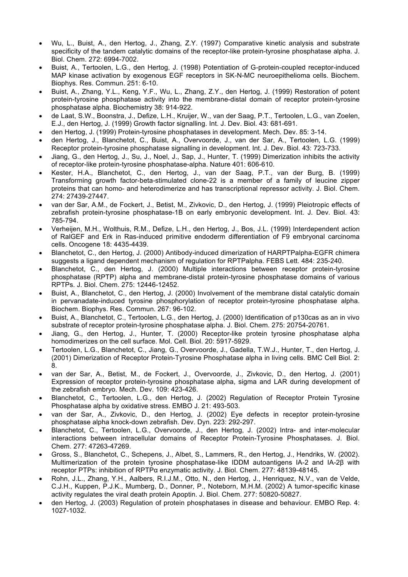- Wu, L., Buist, A., den Hertog, J., Zhang, Z.Y. (1997) Comparative kinetic analysis and substrate specificity of the tandem catalytic domains of the receptor-like protein-tyrosine phosphatase alpha. J. Biol. Chem. 272: 6994-7002.
- Buist, A., Tertoolen, L.G., den Hertog, J. (1998) Potentiation of G-protein-coupled receptor-induced MAP kinase activation by exogenous EGF receptors in SK-N-MC neuroepithelioma cells. Biochem. Biophys. Res. Commun. 251: 6-10.
- Buist, A., Zhang, Y.L., Keng, Y.F., Wu, L., Zhang, Z.Y., den Hertog, J. (1999) Restoration of potent protein-tyrosine phosphatase activity into the membrane-distal domain of receptor protein-tyrosine phosphatase alpha. Biochemistry 38: 914-922.
- de Laat, S.W., Boonstra, J., Defize, L.H., Kruijer, W., van der Saag, P.T., Tertoolen, L.G., van Zoelen, E.J., den Hertog, J. (1999) Growth factor signalling. Int. J. Dev. Biol. 43: 681-691.
- den Hertog, J. (1999) Protein-tyrosine phosphatases in development. Mech. Dev. 85: 3-14.
- den Hertog, J., Blanchetot, C., Buist, A., Overvoorde, J., van der Sar, A., Tertoolen, L.G. (1999) Receptor protein-tyrosine phosphatase signalling in development. Int. J. Dev. Biol. 43: 723-733.
- Jiang, G., den Hertog, J., Su, J., Noel, J., Sap, J., Hunter, T. (1999) Dimerization inhibits the activity of receptor-like protein-tyrosine phosphatase-alpha. Nature 401: 606-610.
- Kester, H.A., Blanchetot, C., den Hertog, J., van der Saag, P.T., van der Burg, B. (1999) Transforming growth factor-beta-stimulated clone-22 is a member of a family of leucine zipper proteins that can homo- and heterodimerize and has transcriptional repressor activity. J. Biol. Chem. 274: 27439-27447.
- van der Sar, A.M., de Fockert, J., Betist, M., Zivkovic, D., den Hertog, J. (1999) Pleiotropic effects of zebrafish protein-tyrosine phosphatase-1B on early embryonic development. Int. J. Dev. Biol. 43: 785-794.
- Verheijen, M.H., Wolthuis, R.M., Defize, L.H., den Hertog, J., Bos, J.L. (1999) Interdependent action of RalGEF and Erk in Ras-induced primitive endoderm differentiation of F9 embryonal carcinoma cells. Oncogene 18: 4435-4439.
- Blanchetot, C., den Hertog, J. (2000) Antibody-induced dimerization of HARPTPalpha-EGFR chimera suggests a ligand dependent mechanism of regulation for RPTPalpha. FEBS Lett. 484: 235-240.
- Blanchetot, C., den Hertog, J. (2000) Multiple interactions between receptor protein-tyrosine phosphatase (RPTP) alpha and membrane-distal protein-tyrosine phosphatase domains of various RPTPs. J. Biol. Chem. 275: 12446-12452.
- Buist, A., Blanchetot, C., den Hertog, J. (2000) Involvement of the membrane distal catalytic domain in pervanadate-induced tyrosine phosphorylation of receptor protein-tyrosine phosphatase alpha. Biochem. Biophys. Res. Commun. 267: 96-102.
- Buist, A., Blanchetot, C., Tertoolen, L.G., den Hertog, J. (2000) Identification of p130cas as an in vivo substrate of receptor protein-tyrosine phosphatase alpha. J. Biol. Chem. 275: 20754-20761.
- Jiang, G., den Hertog, J., Hunter, T. (2000) Receptor-like protein tyrosine phosphatase alpha homodimerizes on the cell surface. Mol. Cell. Biol. 20: 5917-5929.
- Tertoolen, L.G., Blanchetot, C., Jiang, G., Overvoorde, J., Gadella, T.W.J., Hunter, T., den Hertog, J. (2001) Dimerization of Receptor Protein-Tyrosine Phosphatase alpha in living cells. BMC Cell Biol. 2: 8.
- van der Sar, A., Betist, M., de Fockert, J., Overvoorde, J., Zivkovic, D., den Hertog, J. (2001) Expression of receptor protein-tyrosine phosphatase alpha, sigma and LAR during development of the zebrafish embryo. Mech. Dev. 109: 423-426.
- Blanchetot, C., Tertoolen, L.G., den Hertog, J. (2002) Regulation of Receptor Protein Tyrosine Phosphatase alpha by oxidative stress. EMBO J. 21: 493-503.
- van der Sar, A., Zivkovic, D., den Hertog, J. (2002) Eye defects in receptor protein-tyrosine phosphatase alpha knock-down zebrafish. Dev. Dyn. 223: 292-297.
- Blanchetot, C., Tertoolen, L.G., Overvoorde, J., den Hertog, J. (2002) Intra- and inter-molecular interactions between intracellular domains of Receptor Protein-Tyrosine Phosphatases. J. Biol. Chem. 277: 47263-47269.
- Gross, S., Blanchetot, C., Schepens, J., Albet, S., Lammers, R., den Hertog, J., Hendriks, W. (2002). Multimerization of the protein tyrosine phosphatase-like IDDM autoantigens IA-2 and IA-2β with receptor PTPs: inhibition of RPTPα enzymatic activity. J. Biol. Chem. 277: 48139-48145.
- Rohn, J.L., Zhang, Y.H., Aalbers, R.I.J.M., Otto, N., den Hertog, J., Henriquez, N.V., van de Velde, C.J.H., Kuppen, P.J.K., Mumberg, D., Donner, P., Noteborn, M.H.M. (2002) A tumor-specific kinase activity regulates the viral death protein Apoptin. J. Biol. Chem. 277: 50820-50827.
- den Hertog, J. (2003) Regulation of protein phosphatases in disease and behaviour. EMBO Rep. 4: 1027-1032.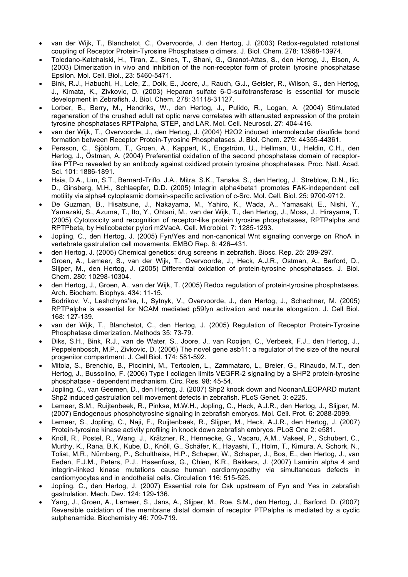- van der Wijk, T., Blanchetot, C., Overvoorde, J. den Hertog, J. (2003) Redox-regulated rotational coupling of Receptor Protein-Tyrosine Phosphatase α dimers. J. Biol. Chem. 278: 13968-13974.
- Toledano-Katchalski, H., Tiran, Z., Sines, T., Shani, G., Granot-Attas, S., den Hertog, J., Elson, A. (2003) Dimerization in vivo and inhibition of the non-receptor form of protein tyrosine phosphatase Epsilon. Mol. Cell. Biol., 23: 5460-5471.
- Bink, R.J., Habuchi, H., Lele, Z., Dolk, E., Joore, J., Rauch, G.J., Geisler, R., Wilson, S., den Hertog, J., Kimata, K., Zivkovic, D. (2003) Heparan sulfate 6-O-sulfotransferase is essential for muscle development in Zebrafish. J. Biol. Chem. 278: 31118-31127.
- Lorber, B., Berry, M., Hendriks, W., den Hertog, J., Pulido, R., Logan, A. (2004) Stimulated regeneration of the crushed adult rat optic nerve correlates with attenuated expression of the protein tyrosine phosphatases RPTPalpha, STEP, and LAR. Mol. Cell. Neurosci. 27: 404-416.
- van der Wijk, T., Overvoorde, J., den Hertog, J. (2004) H2O2 induced intermolecular disulfide bond formation between Receptor Protein-Tyrosine Phosphatases. J. Biol. Chem. 279: 44355-44361.
- Persson, C., Sjöblom, T., Groen, A., Kappert, K., Engström, U., Hellman, U., Heldin, C.H., den Hertog, J., Östman, A. (2004) Preferential oxidation of the second phosphatase domain of receptorlike PTP-α revealed by an antibody against oxidized protein tyrosine phosphatases. Proc. Natl. Acad. Sci. 101: 1886-1891.
- Hsia, D.A., Lim, S.T., Bernard-Triflo, J.A., Mitra, S.K., Tanaka, S., den Hertog, J., Streblow, D.N., Ilic, D., Ginsberg, M.H., Schlaepfer, D.D. (2005) Integrin alpha4beta1 promotes FAK-independent cell motility via alpha4 cytoplasmic domain-specific activation of c-Src. Mol. Cell. Biol. 25: 9700-9712.
- De Guzman, B., Hisatsune, J., Nakayama, M., Yahiro, K., Wada, A., Yamasaki, E., Nishi, Y., Yamazaki, S., Azuma, T., Ito, Y., Ohtani, M., van der Wijk, T., den Hertog, J., Moss, J., Hirayama, T. (2005) Cytotoxicity and recognition of receptor-like protein tyrosine phosphatases, RPTPalpha and RPTPbeta, by Helicobacter pylori m2VacA. Cell. Microbiol. 7: 1285-1293.
- Jopling, C., den Hertog, J. (2005) Fyn/Yes and non-canonical Wnt signaling converge on RhoA in vertebrate gastrulation cell movements. EMBO Rep. 6: 426–431.
- den Hertog, J. (2005) Chemical genetics: drug screens in zebrafish. Biosc. Rep. 25: 289-297.
- Groen, A., Lemeer, S., van der Wijk, T., Overvoorde, J., Heck, A.J.R., Ostman, A., Barford, D., Slijper, M., den Hertog, J. (2005) Differential oxidation of protein-tyrosine phosphatases. J. Biol. Chem. 280: 10298-10304.
- den Hertog, J., Groen, A., van der Wijk, T. (2005) Redox regulation of protein-tyrosine phosphatases. Arch. Biochem. Biophys. 434: 11-15.
- Bodrikov, V., Leshchyns'ka, I., Sytnyk, V., Overvoorde, J., den Hertog, J., Schachner, M. (2005) RPTPalpha is essential for NCAM mediated p59fyn activation and neurite elongation. J. Cell Biol. 168: 127-139.
- van der Wijk, T., Blanchetot, C., den Hertog, J. (2005) Regulation of Receptor Protein-Tyrosine Phosphatase dimerization. Methods 35: 73-79.
- Diks, S.H., Bink, R.J., van de Water, S., Joore, J., van Rooijen, C., Verbeek, F.J., den Hertog, J., Peppelenbosch, M.P., Zivkovic, D. (2006) The novel gene asb11: a regulator of the size of the neural progenitor compartment. J. Cell Biol. 174: 581-592.
- Mitola, S., Brenchio, B., Piccinini, M., Tertoolen, L., Zammataro, L., Breier, G., Rinaudo, M.T., den Hertog, J., Bussolino, F. (2006) Type I collagen limits VEGFR-2 signaling by a SHP2 protein-tyrosine phosphatase - dependent mechanism. Circ. Res. 98: 45-54.
- Jopling, C., van Geemen, D., den Hertog, J. (2007) Shp2 knock down and Noonan/LEOPARD mutant Shp2 induced gastrulation cell movement defects in zebrafish. PLoS Genet. 3: e225.
- Lemeer, S.M., Ruijtenbeek, R., Pinkse, M.W.H., Jopling, C., Heck, A.J.R., den Hertog, J., Slijper, M. (2007) Endogenous phosphotyrosine signaling in zebrafish embryos. Mol. Cell. Prot. 6: 2088-2099.
- Lemeer, S., Jopling, C., Naji, F., Ruijtenbeek, R., Slijper, M., Heck, A.J.R., den Hertog, J. (2007) Protein-tyrosine kinase activity profiling in knock down zebrafish embryos. PLoS One 2: e581.
- Knöll, R., Postel, R., Wang, J., Krätzner, R., Hennecke, G., Vacaru, A.M., Vakeel, P., Schubert, C., Murthy, K., Rana, B.K., Kube, D., Knöll, G., Schäfer, K., Hayashi, T., Holm, T., Kimura, A. Schork, N., Toliat, M.R., Nürnberg, P., Schultheiss, H.P., Schaper, W., Schaper, J., Bos, E., den Hertog, J., van Eeden, F.J.M., Peters, P.J., Hasenfuss, G., Chien, K.R., Bakkers, J. (2007) Laminin alpha 4 and integrin-linked kinase mutations cause human cardiomyopathy via simultaneous defects in cardiomyocytes and in endothelial cells. Circulation 116: 515-525.
- Jopling, C., den Hertog, J. (2007) Essential role for Csk upstream of Fyn and Yes in zebrafish gastrulation. Mech. Dev. 124: 129-136.
- Yang, J., Groen, A., Lemeer, S., Jans, A., Slijper, M., Roe, S.M., den Hertog, J., Barford, D. (2007) Reversible oxidation of the membrane distal domain of receptor PTPalpha is mediated by a cyclic sulphenamide. Biochemistry 46: 709-719.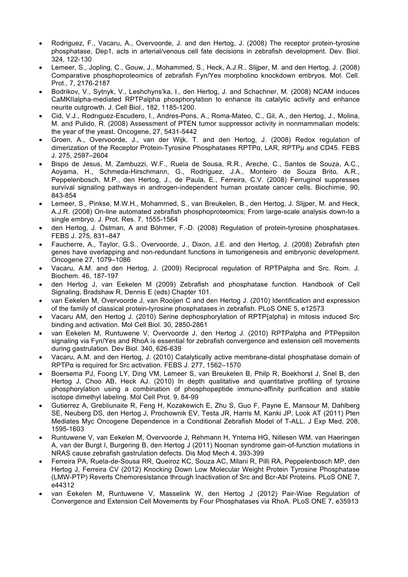- Rodriguez, F., Vacaru, A., Overvoorde, J. and den Hertog, J. (2008) The receptor protein-tyrosine phosphatase, Dep1, acts in arterial/venous cell fate decisions in zebrafish development. Dev. Biol. 324, 122-130
- Lemeer, S., Jopling, C., Gouw, J., Mohammed, S., Heck, A.J.R., Slijper, M. and den Hertog, J. (2008) Comparative phosphoproteomics of zebrafish Fyn/Yes morpholino knockdown embryos. Mol. Cell. Prot., 7, 2176-2187
- Bodrikov, V., Sytnyk, V., Leshchyns'ka, I., den Hertog, J. and Schachner, M. (2008) NCAM induces CaMKIIalpha-mediated RPTPalpha phosphorylation to enhance its catalytic activity and enhance neurite outgrowth. J. Cell Biol., 182, 1185-1200.
- Cid, V.J., Rodrıguez-Escudero, I., Andres-Pons, A., Roma-Mateo, C., Gil, A., den Hertog, J., Molina, M. and Pulido, R. (2008) Assessment of PTEN tumor suppressor activity in nonmammalian models: the year of the yeast. Oncogene, 27, 5431-5442
- Groen, A., Overvoorde, J., van der Wijk, T. and den Hertog, J. (2008) Redox regulation of dimerization of the Receptor Protein-Tyrosine Phosphatases RPTPα, LAR, RPTPμ and CD45. FEBS J. 275, 2597–2604
- Bispo de Jesus, M, Zambuzzi, W.F., Ruela de Sousa, R.R., Areche, C., Santos de Souza, A.C., Aoyama, H., Schmeda-Hirschmann, G., Rodríguez, J.A., Monteiro de Souza Brito, A.R., Peppelenbosch, M.P., den Hertog, J., de Paula, E., Ferreira, C.V. (2008) Ferruginol suppresses survival signaling pathways in androgen-independent human prostate cancer cells. Biochimie, 90, 843-854
- Lemeer, S., Pinkse, M.W.H., Mohammed, S., van Breukelen, B., den Hertog, J. Slijper, M. and Heck, A.J.R. (2008) On-line automated zebrafish phosphoproteomics; From large-scale analysis down-to a single embryo. J. Prot. Res. 7, 1555-1564
- den Hertog, J. Östman, A and Böhmer, F.-D. (2008) Regulation of protein-tyrosine phosphatases. FEBS J. 275, 831–847
- Faucherre, A., Taylor, G.S., Overvoorde, J., Dixon, J.E. and den Hertog, J. (2008) Zebrafish pten genes have overlapping and non-redundant functions in tumorigenesis and embryonic development. Oncogene 27, 1079–1086
- Vacaru, A.M. and den Hertog, J. (2009) Reciprocal regulation of RPTPalpha and Src. Rom. J. Biochem. 46, 187-197
- den Hertog J, van Eekelen M (2009) Zebrafish and phosphatase function. Handbook of Cell Signaling, Bradshaw R, Dennis E (eds) Chapter 101.
- van Eekelen M, Overvoorde J, van Rooijen C and den Hertog J. (2010) Identification and expression of the family of classical protein-tyrosine phosphatases in zebrafish. PLoS ONE 5, e12573
- Vacaru AM, den Hertog J. (2010) Serine dephosphorylation of RPTP{alpha} in mitosis induced Src binding and activation. Mol Cell Biol. 30, 2850-2861
- van Eekelen M, Runtuwene V, Overvoorde J, den Hertog J. (2010) RPTPalpha and PTPepsilon signaling via Fyn/Yes and RhoA is essential for zebrafish convergence and extension cell movements during gastrulation. Dev Biol. 340, 626-639
- Vacaru, A.M. and den Hertog, J. (2010) Catalytically active membrane-distal phosphatase domain of RPTPα is required for Src activation. FEBS J. 277, 1562–1570
- Boersema PJ, Foong LY, Ding VM, Lemeer S, van Breukelen B, Philp R, Boekhorst J, Snel B, den Hertog J, Choo AB, Heck AJ. (2010) In depth qualitative and quantitative profiling of tyrosine phosphorylation using a combination of phosphopeptide immuno-affinity purification and stable isotope dimethyl labeling. Mol Cell Prot. 9, 84-99
- Gutierrez A, Grebliunaite R, Feng H, Kozakewich E, Zhu S, Guo F, Payne E, Mansour M, Dahlberg SE, Neuberg DS, den Hertog J, Prochownik EV, Testa JR, Harris M, Kanki JP, Look AT (2011) Pten Mediates Myc Oncogene Dependence in a Conditional Zebrafish Model of T-ALL. J Exp Med, 208, 1595-1603
- Runtuwene V, van Eekelen M, Overvoorde J, Rehmann H, Yntema HG, Nillesen WM, van Haeringen A, van der Burgt I, Burgering B, den Hertog J (2011) Noonan syndrome gain-of-function mutations in NRAS cause zebrafish gastrulation defects. Dis Mod Mech 4, 393-399
- Ferreira PA, Ruela-de-Sousa RR, Queiroz KC, Souza AC, Milani R, Pilli RA, Peppelenbosch MP, den Hertog J, Ferreira CV (2012) Knocking Down Low Molecular Weight Protein Tyrosine Phosphatase (LMW-PTP) Reverts Chemoresistance through Inactivation of Src and Bcr-Abl Proteins. PLoS ONE 7, e44312
- van Eekelen M, Runtuwene V, Masselink W, den Hertog J (2012) Pair-Wise Regulation of Convergence and Extension Cell Movements by Four Phosphatases via RhoA. PLoS ONE 7, e35913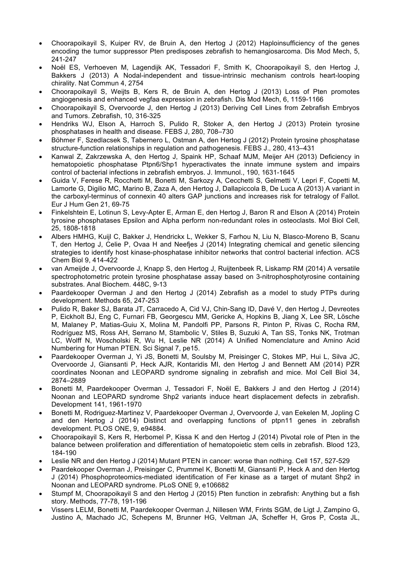- Choorapoikayil S, Kuiper RV, de Bruin A, den Hertog J (2012) Haploinsufficiency of the genes encoding the tumor suppressor Pten predisposes zebrafish to hemangiosarcoma. Dis Mod Mech, 5, 241-247
- Noël ES, Verhoeven M, Lagendijk AK, Tessadori F, Smith K, Choorapoikayil S, den Hertog J, Bakkers J (2013) A Nodal-independent and tissue-intrinsic mechanism controls heart-looping chirality. Nat Commun 4, 2754
- Choorapoikayil S, Weijts B, Kers R, de Bruin A, den Hertog J (2013) Loss of Pten promotes angiogenesis and enhanced vegfaa expression in zebrafish. Dis Mod Mech, 6, 1159-1166
- Choorapoikayil S, Overvoorde J, den Hertog J (2013) Deriving Cell Lines from Zebrafish Embryos and Tumors. Zebrafish, 10, 316-325
- Hendriks WJ, Elson A, Harroch S, Pulido R, Stoker A, den Hertog J (2013) Protein tyrosine phosphatases in health and disease. FEBS J, 280, 708–730
- Böhmer F, Szedlacsek S, Tabernero L, Ostman A, den Hertog J (2012) Protein tyrosine phosphatase structure-function relationships in regulation and pathogenesis. FEBS J., 280, 413–431
- Kanwal Z, Zakrzewska A, den Hertog J, Spaink HP, Schaaf MJM, Meijer AH (2013) Deficiency in hematopoietic phosphatase Ptpn6/Shp1 hyperactivates the innate immune system and impairs control of bacterial infections in zebrafish embryos. J. Immunol., 190, 1631-1645
- Guida V, Ferese R, Rocchetti M, Bonetti M, Sarkozy A, Cecchetti S, Gelmetti V, Lepri F, Copetti M, Lamorte G, Digilio MC, Marino B, Zaza A, den Hertog J, Dallapiccola B, De Luca A (2013) A variant in the carboxyl-terminus of connexin 40 alters GAP junctions and increases risk for tetralogy of Fallot. Eur J Hum Gen 21, 69-75
- Finkelshtein E, Lotinun S, Levy-Apter E, Arman E, den Hertog J, Baron R and Elson A (2014) Protein tyrosine phosphatases Epsilon and Alpha perform non-redundant roles in osteoclasts. Mol Biol Cell, 25, 1808-1818
- Albers HMHG, Kuijl C, Bakker J, Hendrickx L, Wekker S, Farhou N, Liu N, Blasco-Moreno B, Scanu T, den Hertog J, Celie P, Ovaa H and Neefjes J (2014) Integrating chemical and genetic silencing strategies to identify host kinase-phosphatase inhibitor networks that control bacterial infection. ACS Chem Biol 9, 414-422
- van Ameijde J, Overvoorde J, Knapp S, den Hertog J, Ruijtenbeek R, Liskamp RM (2014) A versatile spectrophotometric protein tyrosine phosphatase assay based on 3-nitrophosphotyrosine containing substrates. Anal Biochem. 448C, 9-13
- Paardekooper Overman J and den Hertog J (2014) Zebrafish as a model to study PTPs during development. Methods 65, 247-253
- Pulido R, Baker SJ, Barata JT, Carracedo A, Cid VJ, Chin-Sang ID, Davé V, den Hertog J, Devreotes P, Eickholt BJ, Eng C, Furnari FB, Georgescu MM, Gericke A, Hopkins B, Jiang X, Lee SR, Lösche M, Malaney P, Matias-Guiu X, Molina M, Pandolfi PP, Parsons R, Pinton P, Rivas C, Rocha RM, Rodríguez MS, Ross AH, Serrano M, Stambolic V, Stiles B, Suzuki A, Tan SS, Tonks NK, Trotman LC, Wolff N, Woscholski R, Wu H, Leslie NR (2014) A Unified Nomenclature and Amino Acid Numbering for Human PTEN. Sci Signal 7, pe15.
- Paardekooper Overman J, Yi JS, Bonetti M, Soulsby M, Preisinger C, Stokes MP, Hui L, Silva JC, Overvoorde J, Giansanti P, Heck AJR, Kontaridis MI, den Hertog J and Bennett AM (2014) PZR coordinates Noonan and LEOPARD syndrome signaling in zebrafish and mice. Mol Cell Biol 34, 2874–2889
- Bonetti M, Paardekooper Overman J, Tessadori F, Noël E, Bakkers J and den Hertog J (2014) Noonan and LEOPARD syndrome Shp2 variants induce heart displacement defects in zebrafish. Development 141, 1961-1970
- Bonetti M, Rodriguez-Martinez V, Paardekooper Overman J, Overvoorde J, van Eekelen M, Jopling C and den Hertog J (2014) Distinct and overlapping functions of ptpn11 genes in zebrafish development. PLOS ONE, 9, e94884.
- Choorapoikayil S, Kers R, Herbomel P, Kissa K and den Hertog J (2014) Pivotal role of Pten in the balance between proliferation and differentiation of hematopoietic stem cells in zebrafish. Blood 123, 184-190
- Leslie NR and den Hertog J (2014) Mutant PTEN in cancer: worse than nothing. Cell 157, 527-529
- Paardekooper Overman J, Preisinger C, Prummel K, Bonetti M, Giansanti P, Heck A and den Hertog J (2014) Phosphoproteomics-mediated identification of Fer kinase as a target of mutant Shp2 in Noonan and LEOPARD syndrome. PLoS ONE 9, e106682
- Stumpf M, Choorapoikayil S and den Hertog J (2015) Pten function in zebrafish: Anything but a fish story. Methods, 77-78, 191-196
- Vissers LELM, Bonetti M, Paardekooper Overman J, Nillesen WM, Frints SGM, de Ligt J, Zampino G, Justino A, Machado JC, Schepens M, Brunner HG, Veltman JA, Scheffer H, Gros P, Costa JL,